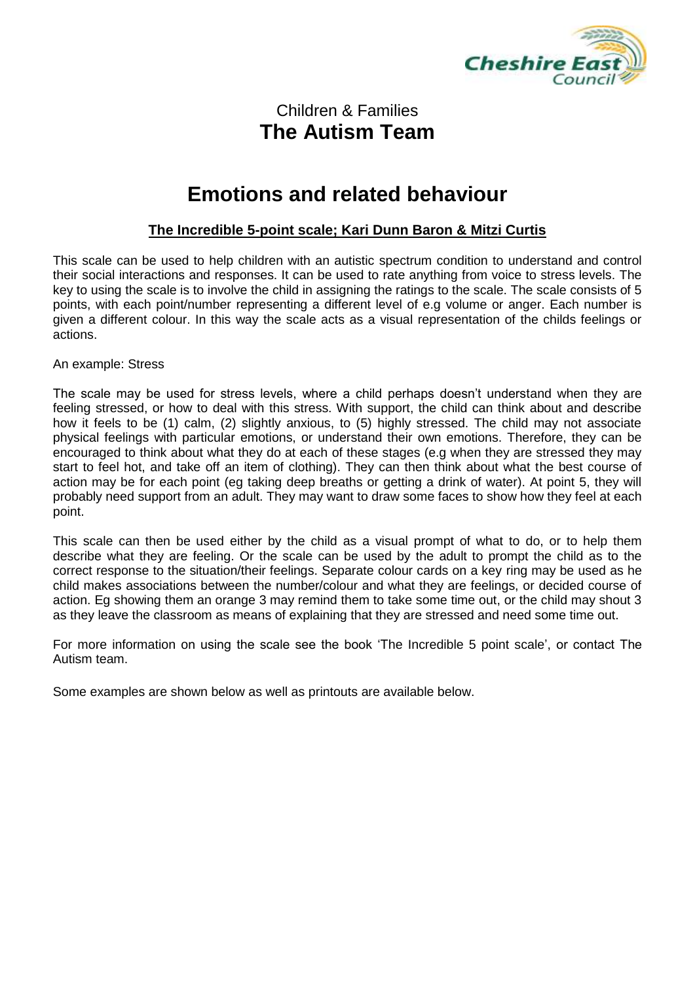

#### Children & Families **The Autism Team**

### **Emotions and related behaviour**

#### **The Incredible 5-point scale; Kari Dunn Baron & Mitzi Curtis**

This scale can be used to help children with an autistic spectrum condition to understand and control their social interactions and responses. It can be used to rate anything from voice to stress levels. The key to using the scale is to involve the child in assigning the ratings to the scale. The scale consists of 5 points, with each point/number representing a different level of e.g volume or anger. Each number is given a different colour. In this way the scale acts as a visual representation of the childs feelings or actions.

An example: Stress

The scale may be used for stress levels, where a child perhaps doesn't understand when they are feeling stressed, or how to deal with this stress. With support, the child can think about and describe how it feels to be (1) calm, (2) slightly anxious, to (5) highly stressed. The child may not associate physical feelings with particular emotions, or understand their own emotions. Therefore, they can be encouraged to think about what they do at each of these stages (e.g when they are stressed they may start to feel hot, and take off an item of clothing). They can then think about what the best course of action may be for each point (eg taking deep breaths or getting a drink of water). At point 5, they will probably need support from an adult. They may want to draw some faces to show how they feel at each point.

This scale can then be used either by the child as a visual prompt of what to do, or to help them describe what they are feeling. Or the scale can be used by the adult to prompt the child as to the correct response to the situation/their feelings. Separate colour cards on a key ring may be used as he child makes associations between the number/colour and what they are feelings, or decided course of action. Eg showing them an orange 3 may remind them to take some time out, or the child may shout 3 as they leave the classroom as means of explaining that they are stressed and need some time out.

For more information on using the scale see the book 'The Incredible 5 point scale', or contact The Autism team.

Some examples are shown below as well as printouts are available below.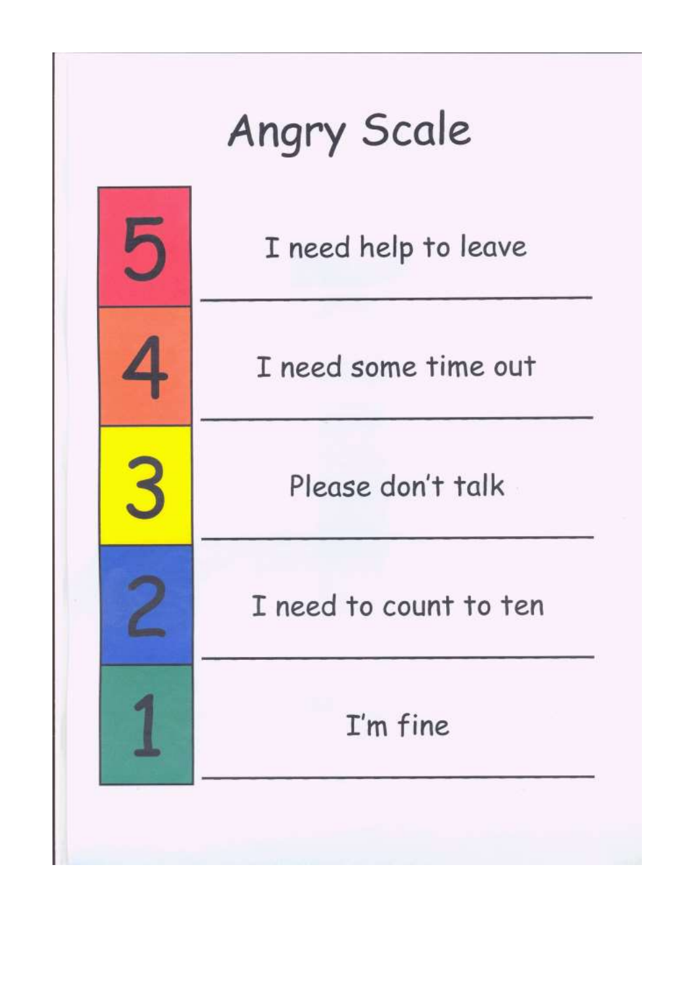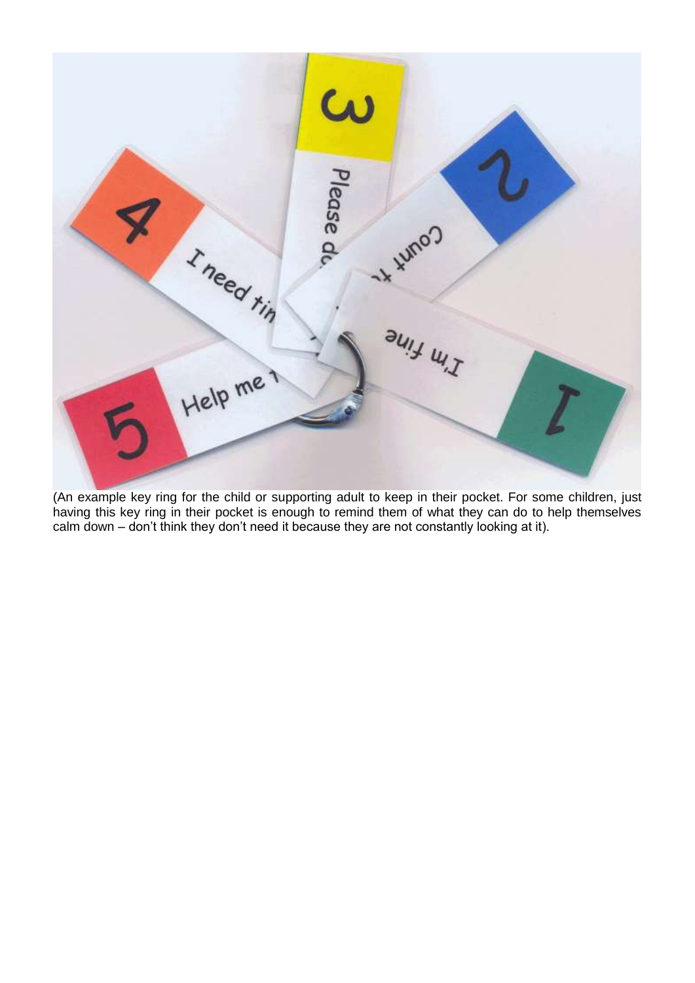

(An example key ring for the child or supporting adult to keep in their pocket. For some children, just having this key ring in their pocket is enough to remind them of what they can do to help themselves calm down – don't think they don't need it because they are not constantly looking at it).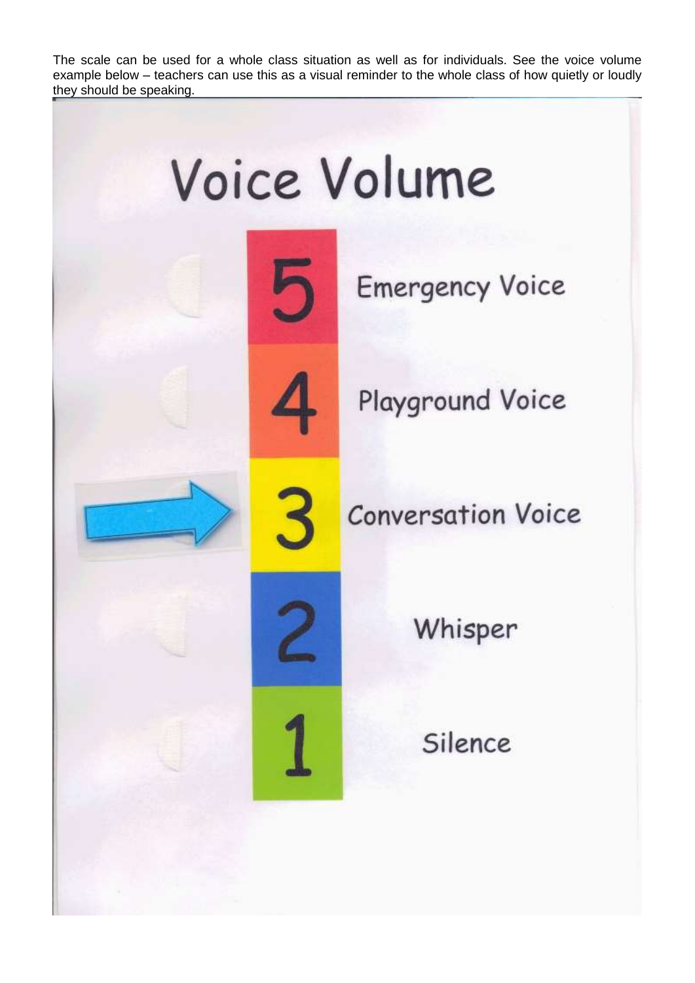The scale can be used for a whole class situation as well as for individuals. See the voice volume example below – teachers can use this as a visual reminder to the whole class of how quietly or loudly they should be speaking.

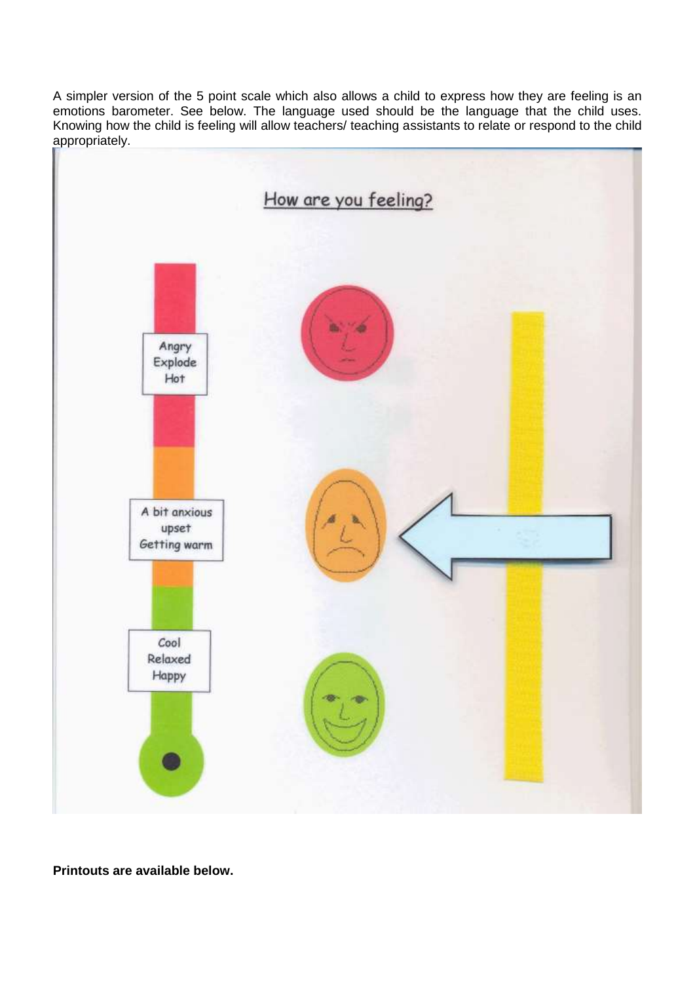A simpler version of the 5 point scale which also allows a child to express how they are feeling is an emotions barometer. See below. The language used should be the language that the child uses. Knowing how the child is feeling will allow teachers/ teaching assistants to relate or respond to the child appropriately.



**Printouts are available below.**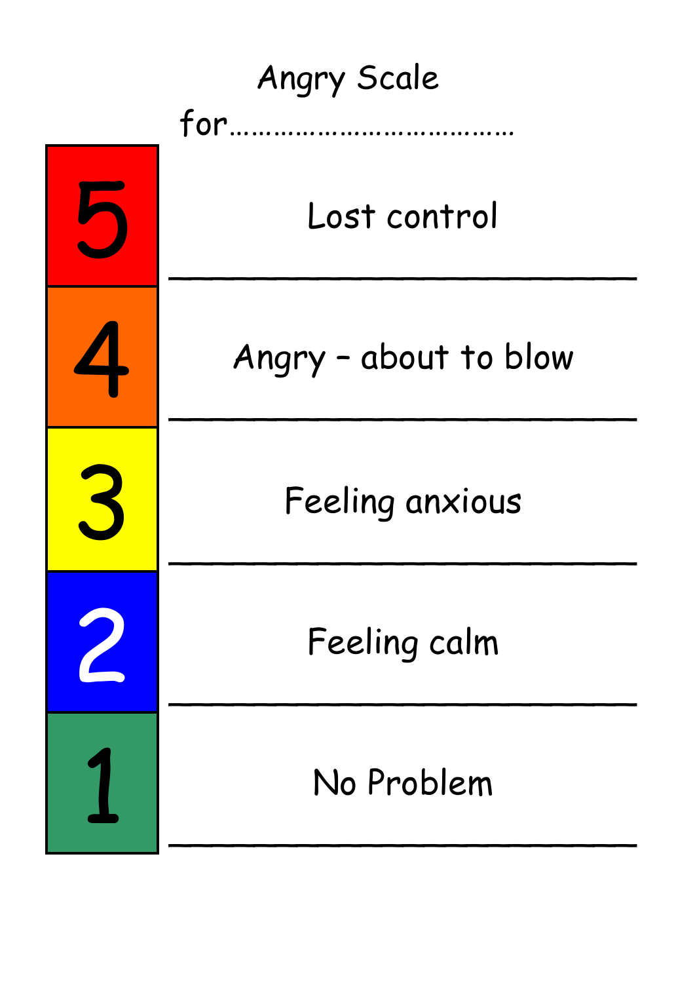| <b>Angry Scale</b> |                       |  |  |  |
|--------------------|-----------------------|--|--|--|
| $for$              |                       |  |  |  |
|                    | Lost control          |  |  |  |
|                    | Angry - about to blow |  |  |  |
| $\mathbf{S}$       | Feeling anxious       |  |  |  |
|                    | Feeling calm          |  |  |  |
|                    | No Problem            |  |  |  |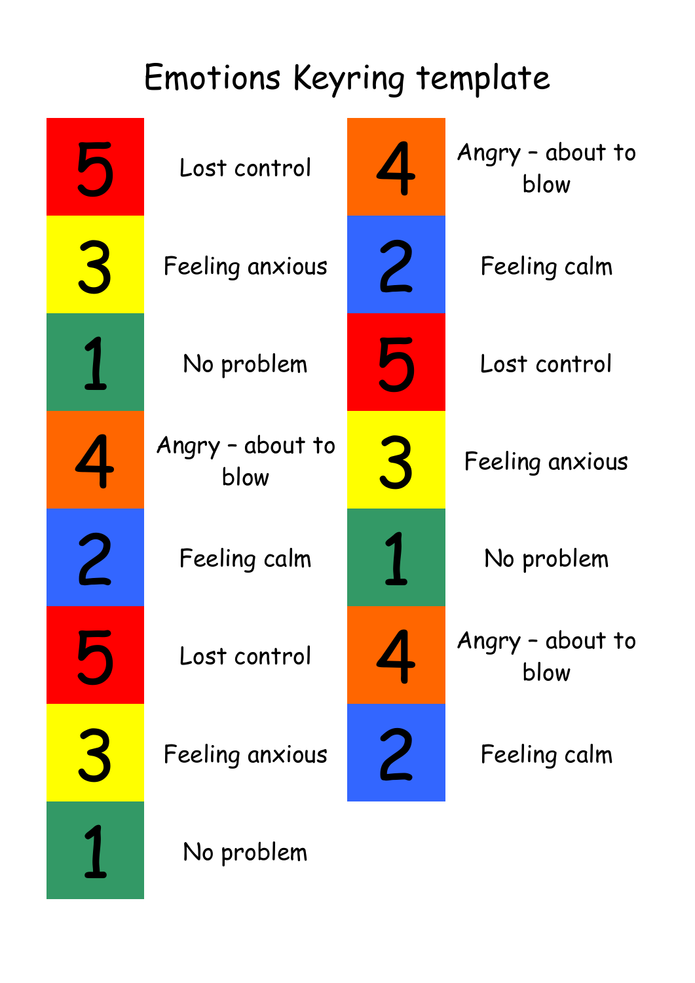# Emotions Keyring template

|   | Lost control             |   | Angry - about to<br>blow |
|---|--------------------------|---|--------------------------|
| 3 | Feeling anxious          | 2 | Feeling calm             |
|   | No problem               |   | Lost control             |
|   | Angry - about to<br>blow |   | Feeling anxious          |
|   | Feeling calm             |   | No problem               |
|   | Lost control             |   | Angry - about to<br>blow |
|   | Feeling anxious          |   | Feeling calm             |
|   | No problem               |   |                          |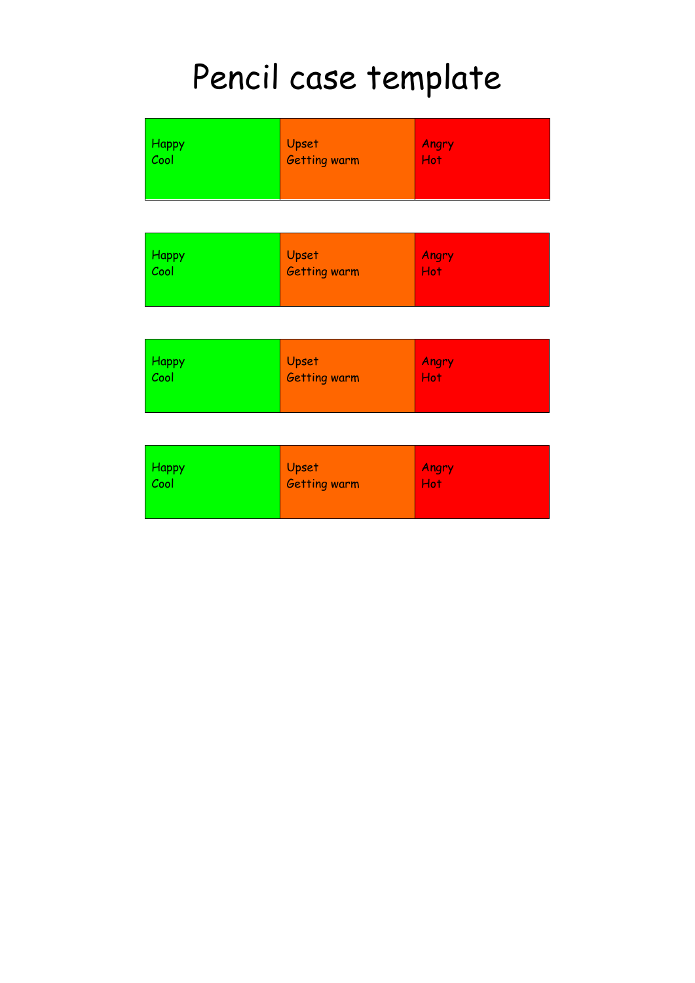## Pencil case template

| <b>Happy</b> | <b>Upset</b>        | Angry |
|--------------|---------------------|-------|
| Cool         | <b>Getting warm</b> | Hot:  |
| <b>Happy</b> | <b>Upset</b>        | Angry |
| Cool         | <b>Getting warm</b> | Hot:  |
| <b>Happy</b> | Upset               | Angry |
| Cool         | <b>Getting warm</b> | Hot:  |

| Happy<br>Cool | Upset<br><b>Getting warm</b> | Angry<br>Hot |
|---------------|------------------------------|--------------|
|               |                              |              |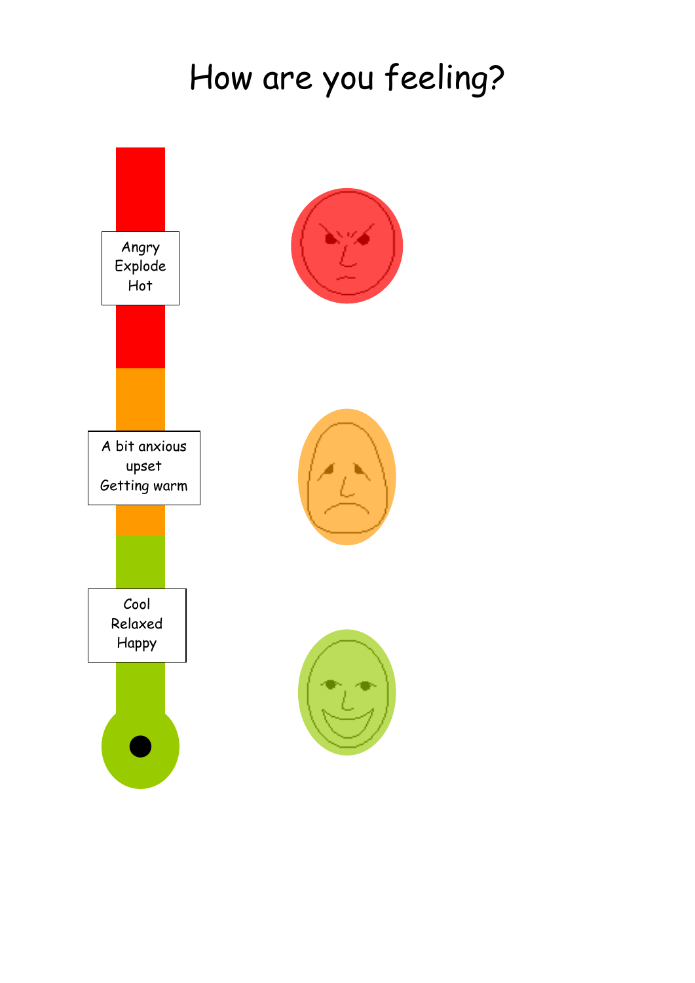### How are you feeling?